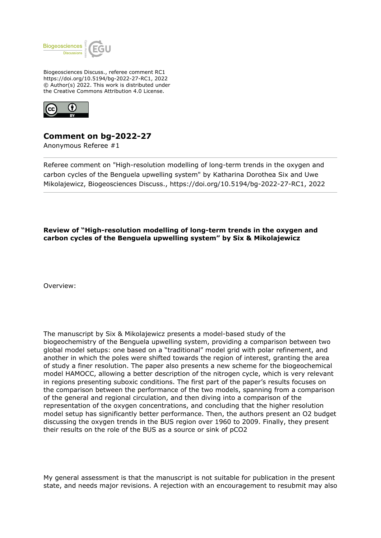

Biogeosciences Discuss., referee comment RC1 https://doi.org/10.5194/bg-2022-27-RC1, 2022 © Author(s) 2022. This work is distributed under the Creative Commons Attribution 4.0 License.



## **Comment on bg-2022-27**

Anonymous Referee #1

Referee comment on "High-resolution modelling of long-term trends in the oxygen and carbon cycles of the Benguela upwelling system" by Katharina Dorothea Six and Uwe Mikolajewicz, Biogeosciences Discuss., https://doi.org/10.5194/bg-2022-27-RC1, 2022

**Review of "High-resolution modelling of long-term trends in the oxygen and carbon cycles of the Benguela upwelling system" by Six & Mikolajewicz** 

Overview:

The manuscript by Six & Mikolajewicz presents a model-based study of the biogeochemistry of the Benguela upwelling system, providing a comparison between two global model setups: one based on a "traditional" model grid with polar refinement, and another in which the poles were shifted towards the region of interest, granting the area of study a finer resolution. The paper also presents a new scheme for the biogeochemical model HAMOCC, allowing a better description of the nitrogen cycle, which is very relevant in regions presenting suboxic conditions. The first part of the paper's results focuses on the comparison between the performance of the two models, spanning from a comparison of the general and regional circulation, and then diving into a comparison of the representation of the oxygen concentrations, and concluding that the higher resolution model setup has significantly better performance. Then, the authors present an O2 budget discussing the oxygen trends in the BUS region over 1960 to 2009. Finally, they present their results on the role of the BUS as a source or sink of pCO2

My general assessment is that the manuscript is not suitable for publication in the present state, and needs major revisions. A rejection with an encouragement to resubmit may also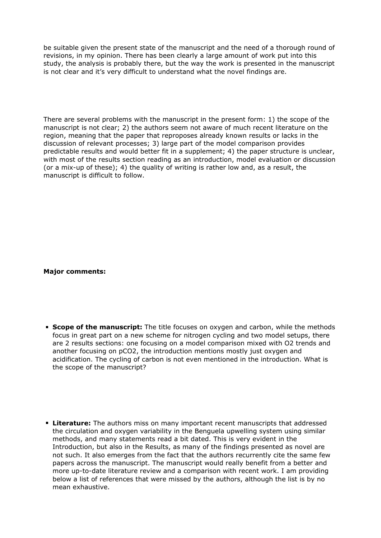be suitable given the present state of the manuscript and the need of a thorough round of revisions, in my opinion. There has been clearly a large amount of work put into this study, the analysis is probably there, but the way the work is presented in the manuscript is not clear and it's very difficult to understand what the novel findings are.

There are several problems with the manuscript in the present form: 1) the scope of the manuscript is not clear; 2) the authors seem not aware of much recent literature on the region, meaning that the paper that reproposes already known results or lacks in the discussion of relevant processes; 3) large part of the model comparison provides predictable results and would better fit in a supplement; 4) the paper structure is unclear, with most of the results section reading as an introduction, model evaluation or discussion (or a mix-up of these); 4) the quality of writing is rather low and, as a result, the manuscript is difficult to follow.

## **Major comments:**

- **Scope of the manuscript:** The title focuses on oxygen and carbon, while the methods focus in great part on a new scheme for nitrogen cycling and two model setups, there are 2 results sections: one focusing on a model comparison mixed with O2 trends and another focusing on pCO2, the introduction mentions mostly just oxygen and acidification. The cycling of carbon is not even mentioned in the introduction. What is the scope of the manuscript?
- **Literature:** The authors miss on many important recent manuscripts that addressed the circulation and oxygen variability in the Benguela upwelling system using similar methods, and many statements read a bit dated. This is very evident in the Introduction, but also in the Results, as many of the findings presented as novel are not such. It also emerges from the fact that the authors recurrently cite the same few papers across the manuscript. The manuscript would really benefit from a better and more up-to-date literature review and a comparison with recent work. I am providing below a list of references that were missed by the authors, although the list is by no mean exhaustive.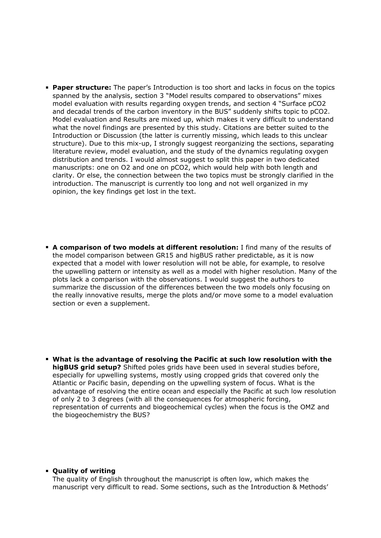- **Paper structure:** The paper's Introduction is too short and lacks in focus on the topics spanned by the analysis, section 3 "Model results compared to observations" mixes model evaluation with results regarding oxygen trends, and section 4 "Surface pCO2 and decadal trends of the carbon inventory in the BUS" suddenly shifts topic to pCO2. Model evaluation and Results are mixed up, which makes it very difficult to understand what the novel findings are presented by this study. Citations are better suited to the Introduction or Discussion (the latter is currently missing, which leads to this unclear structure). Due to this mix-up, I strongly suggest reorganizing the sections, separating literature review, model evaluation, and the study of the dynamics regulating oxygen distribution and trends. I would almost suggest to split this paper in two dedicated manuscripts: one on O2 and one on pCO2, which would help with both length and clarity. Or else, the connection between the two topics must be strongly clarified in the introduction. The manuscript is currently too long and not well organized in my opinion, the key findings get lost in the text.
- **A comparison of two models at different resolution:** I find many of the results of the model comparison between GR15 and higBUS rather predictable, as it is now expected that a model with lower resolution will not be able, for example, to resolve the upwelling pattern or intensity as well as a model with higher resolution. Many of the plots lack a comparison with the observations. I would suggest the authors to summarize the discussion of the differences between the two models only focusing on the really innovative results, merge the plots and/or move some to a model evaluation section or even a supplement.
- **What is the advantage of resolving the Pacific at such low resolution with the higBUS grid setup?** Shifted poles grids have been used in several studies before, especially for upwelling systems, mostly using cropped grids that covered only the Atlantic or Pacific basin, depending on the upwelling system of focus. What is the advantage of resolving the entire ocean and especially the Pacific at such low resolution of only 2 to 3 degrees (with all the consequences for atmospheric forcing, representation of currents and biogeochemical cycles) when the focus is the OMZ and the biogeochemistry the BUS?

## **E** Quality of writing

The quality of English throughout the manuscript is often low, which makes the manuscript very difficult to read. Some sections, such as the Introduction & Methods'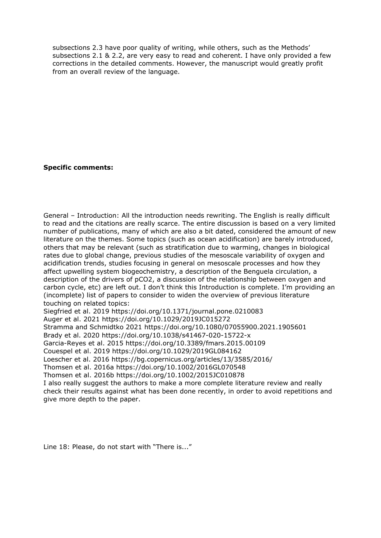subsections 2.3 have poor quality of writing, while others, such as the Methods' subsections 2.1 & 2.2, are very easy to read and coherent. I have only provided a few corrections in the detailed comments. However, the manuscript would greatly profit from an overall review of the language.

**Specific comments:** 

General – Introduction: All the introduction needs rewriting. The English is really difficult to read and the citations are really scarce. The entire discussion is based on a very limited number of publications, many of which are also a bit dated, considered the amount of new literature on the themes. Some topics (such as ocean acidification) are barely introduced, others that may be relevant (such as stratification due to warming, changes in biological rates due to global change, previous studies of the mesoscale variability of oxygen and acidification trends, studies focusing in general on mesoscale processes and how they affect upwelling system biogeochemistry, a description of the Benguela circulation, a description of the drivers of pCO2, a discussion of the relationship between oxygen and carbon cycle, etc) are left out. I don't think this Introduction is complete. I'm providing an (incomplete) list of papers to consider to widen the overview of previous literature touching on related topics: Siegfried et al. 2019 https://doi.org/10.1371/journal.pone.0210083

```
Auger et al. 2021 https://doi.org/10.1029/2019JC015272
Stramma and Schmidtko 2021 https://doi.org/10.1080/07055900.2021.1905601
Brady et al. 2020 https://doi.org/10.1038/s41467-020-15722-x
Garcia-Reyes et al. 2015 https://doi.org/10.3389/fmars.2015.00109
Couespel et al. 2019 https://doi.org/10.1029/2019GL084162
Loescher et al. 2016 https://bg.copernicus.org/articles/13/3585/2016/
Thomsen et al. 2016a https://doi.org/10.1002/2016GL070548
Thomsen et al. 2016b https://doi.org/10.1002/2015JC010878 
I also really suggest the authors to make a more complete literature review and really
check their results against what has been done recently, in order to avoid repetitions and
give more depth to the paper.
```
Line 18: Please, do not start with "There is..."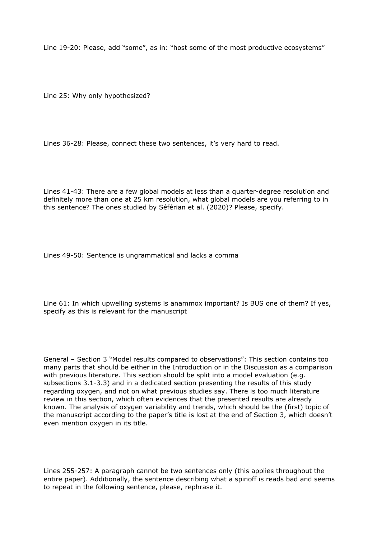Line 19-20: Please, add "some", as in: "host some of the most productive ecosystems"

Line 25: Why only hypothesized?

Lines 36-28: Please, connect these two sentences, it's very hard to read.

Lines 41-43: There are a few global models at less than a quarter-degree resolution and definitely more than one at 25 km resolution, what global models are you referring to in this sentence? The ones studied by Séférian et al. (2020)? Please, specify.

Lines 49-50: Sentence is ungrammatical and lacks a comma

Line 61: In which upwelling systems is anammox important? Is BUS one of them? If yes, specify as this is relevant for the manuscript

General – Section 3 "Model results compared to observations": This section contains too many parts that should be either in the Introduction or in the Discussion as a comparison with previous literature. This section should be split into a model evaluation (e.g. subsections 3.1-3.3) and in a dedicated section presenting the results of this study regarding oxygen, and not on what previous studies say. There is too much literature review in this section, which often evidences that the presented results are already known. The analysis of oxygen variability and trends, which should be the (first) topic of the manuscript according to the paper's title is lost at the end of Section 3, which doesn't even mention oxygen in its title.

Lines 255-257: A paragraph cannot be two sentences only (this applies throughout the entire paper). Additionally, the sentence describing what a spinoff is reads bad and seems to repeat in the following sentence, please, rephrase it.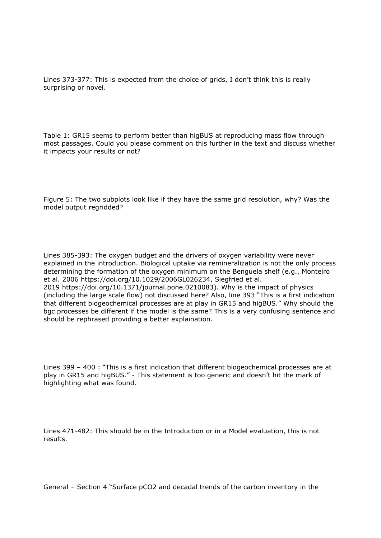Lines 373-377: This is expected from the choice of grids, I don't think this is really surprising or novel.

Table 1: GR15 seems to perform better than higBUS at reproducing mass flow through most passages. Could you please comment on this further in the text and discuss whether it impacts your results or not?

Figure 5: The two subplots look like if they have the same grid resolution, why? Was the model output regridded?

Lines 385-393: The oxygen budget and the drivers of oxygen variability were never explained in the introduction. Biological uptake via remineralization is not the only process determining the formation of the oxygen minimum on the Benguela shelf (e.g., Monteiro et al. 2006 https://doi.org/10.1029/2006GL026234, Siegfried et al. 2019 https://doi.org/10.1371/journal.pone.0210083). Why is the impact of physics (including the large scale flow) not discussed here? Also, line 393 "This is a first indication that different biogeochemical processes are at play in GR15 and higBUS." Why should the bgc processes be different if the model is the same? This is a very confusing sentence and should be rephrased providing a better explaination.

Lines 399 – 400 : "This is a first indication that different biogeochemical processes are at play in GR15 and higBUS." - This statement is too generic and doesn't hit the mark of highlighting what was found.

Lines 471-482: This should be in the Introduction or in a Model evaluation, this is not results.

General – Section 4 "Surface pCO2 and decadal trends of the carbon inventory in the